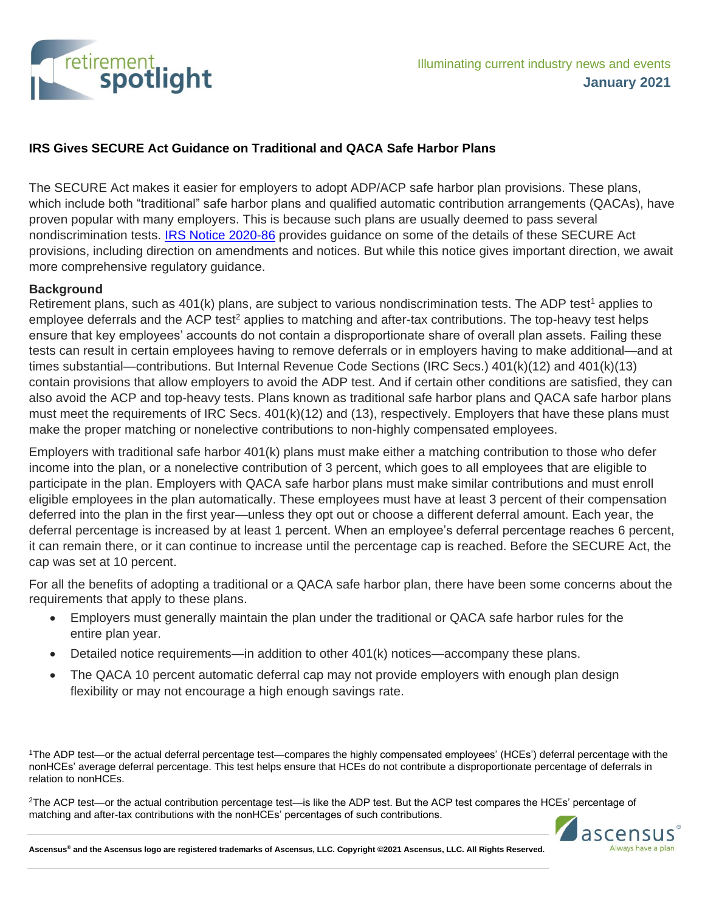

# **IRS Gives SECURE Act Guidance on Traditional and QACA Safe Harbor Plans**

The SECURE Act makes it easier for employers to adopt ADP/ACP safe harbor plan provisions. These plans, which include both "traditional" safe harbor plans and qualified automatic contribution arrangements (QACAs), have proven popular with many employers. This is because such plans are usually deemed to pass several nondiscrimination tests. [IRS Notice 2020-86](https://www.irs.gov/pub/irs-drop/n-20-86.pdf) provides guidance on some of the details of these SECURE Act provisions, including direction on amendments and notices. But while this notice gives important direction, we await more comprehensive regulatory guidance.

#### **Background**

Retirement plans, such as 401(k) plans, are subject to various nondiscrimination tests. The ADP test<sup>1</sup> applies to employee deferrals and the ACP test<sup>2</sup> applies to matching and after-tax contributions. The top-heavy test helps ensure that key employees' accounts do not contain a disproportionate share of overall plan assets. Failing these tests can result in certain employees having to remove deferrals or in employers having to make additional—and at times substantial—contributions. But Internal Revenue Code Sections (IRC Secs.) 401(k)(12) and 401(k)(13) contain provisions that allow employers to avoid the ADP test. And if certain other conditions are satisfied, they can also avoid the ACP and top-heavy tests. Plans known as traditional safe harbor plans and QACA safe harbor plans must meet the requirements of IRC Secs. 401(k)(12) and (13), respectively. Employers that have these plans must make the proper matching or nonelective contributions to non-highly compensated employees.

Employers with traditional safe harbor 401(k) plans must make either a matching contribution to those who defer income into the plan, or a nonelective contribution of 3 percent, which goes to all employees that are eligible to participate in the plan. Employers with QACA safe harbor plans must make similar contributions and must enroll eligible employees in the plan automatically. These employees must have at least 3 percent of their compensation deferred into the plan in the first year—unless they opt out or choose a different deferral amount. Each year, the deferral percentage is increased by at least 1 percent. When an employee's deferral percentage reaches 6 percent, it can remain there, or it can continue to increase until the percentage cap is reached. Before the SECURE Act, the cap was set at 10 percent.

For all the benefits of adopting a traditional or a QACA safe harbor plan, there have been some concerns about the requirements that apply to these plans.

- Employers must generally maintain the plan under the traditional or QACA safe harbor rules for the entire plan year.
- Detailed notice requirements—in addition to other 401(k) notices—accompany these plans.
- The QACA 10 percent automatic deferral cap may not provide employers with enough plan design flexibility or may not encourage a high enough savings rate.

<sup>1</sup>The ADP test—or the actual deferral percentage test—compares the highly compensated employees' (HCEs') deferral percentage with the nonHCEs' average deferral percentage. This test helps ensure that HCEs do not contribute a disproportionate percentage of deferrals in relation to nonHCEs.

<sup>2</sup>The ACP test—or the actual contribution percentage test—is like the ADP test. But the ACP test compares the HCEs' percentage of matching and after-tax contributions with the nonHCEs' percentages of such contributions.



**Ascensus® and the Ascensus logo are registered trademarks of Ascensus, LLC. Copyright ©2021 Ascensus, LLC. All Rights Reserved.**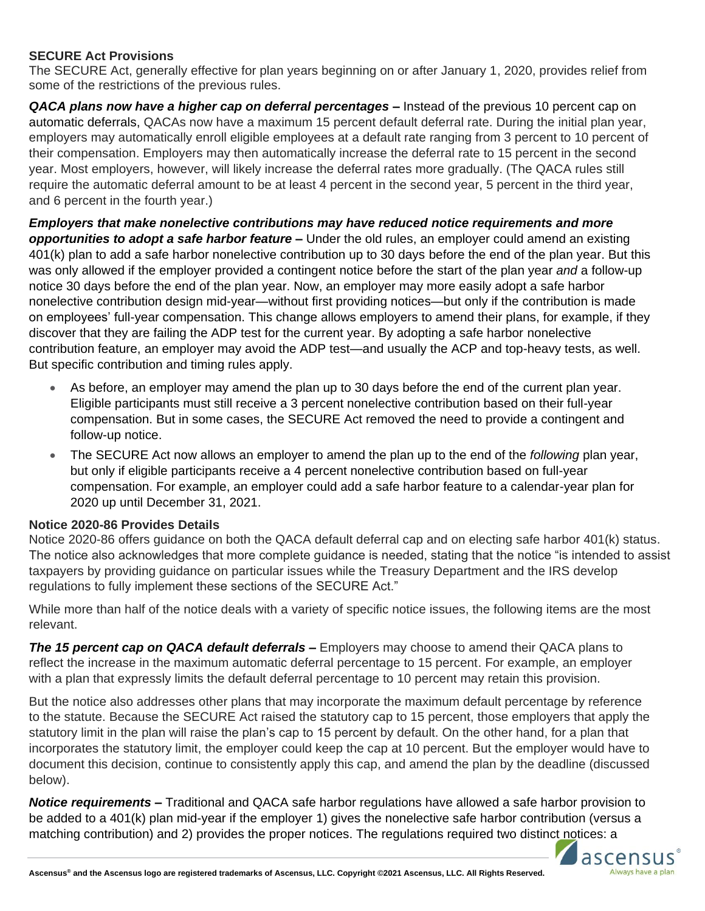# **SECURE Act Provisions**

The SECURE Act, generally effective for plan years beginning on or after January 1, 2020, provides relief from some of the restrictions of the previous rules.

**QACA plans now have a higher cap on deferral percentages – Instead of the previous 10 percent cap on** automatic deferrals, QACAs now have a maximum 15 percent default deferral rate. During the initial plan year, employers may automatically enroll eligible employees at a default rate ranging from 3 percent to 10 percent of their compensation. Employers may then automatically increase the deferral rate to 15 percent in the second year. Most employers, however, will likely increase the deferral rates more gradually. (The QACA rules still require the automatic deferral amount to be at least 4 percent in the second year, 5 percent in the third year, and 6 percent in the fourth year.)

# *Employers that make nonelective contributions may have reduced notice requirements and more*

*opportunities to adopt a safe harbor feature –* Under the old rules, an employer could amend an existing 401(k) plan to add a safe harbor nonelective contribution up to 30 days before the end of the plan year. But this was only allowed if the employer provided a contingent notice before the start of the plan year *and* a follow-up notice 30 days before the end of the plan year. Now, an employer may more easily adopt a safe harbor nonelective contribution design mid-year—without first providing notices—but only if the contribution is made on employees' full-year compensation. This change allows employers to amend their plans, for example, if they discover that they are failing the ADP test for the current year. By adopting a safe harbor nonelective contribution feature, an employer may avoid the ADP test—and usually the ACP and top-heavy tests, as well. But specific contribution and timing rules apply.

- As before, an employer may amend the plan up to 30 days before the end of the current plan year. Eligible participants must still receive a 3 percent nonelective contribution based on their full-year compensation. But in some cases, the SECURE Act removed the need to provide a contingent and follow-up notice.
- The SECURE Act now allows an employer to amend the plan up to the end of the *following* plan year, but only if eligible participants receive a 4 percent nonelective contribution based on full-year compensation. For example, an employer could add a safe harbor feature to a calendar-year plan for 2020 up until December 31, 2021.

### **Notice 2020-86 Provides Details**

Notice 2020-86 offers guidance on both the QACA default deferral cap and on electing safe harbor 401(k) status. The notice also acknowledges that more complete guidance is needed, stating that the notice "is intended to assist taxpayers by providing guidance on particular issues while the Treasury Department and the IRS develop regulations to fully implement these sections of the SECURE Act."

While more than half of the notice deals with a variety of specific notice issues, the following items are the most relevant.

*The 15 percent cap on QACA default deferrals –* Employers may choose to amend their QACA plans to reflect the increase in the maximum automatic deferral percentage to 15 percent. For example, an employer with a plan that expressly limits the default deferral percentage to 10 percent may retain this provision.

But the notice also addresses other plans that may incorporate the maximum default percentage by reference to the statute. Because the SECURE Act raised the statutory cap to 15 percent, those employers that apply the statutory limit in the plan will raise the plan's cap to 15 percent by default. On the other hand, for a plan that incorporates the statutory limit, the employer could keep the cap at 10 percent. But the employer would have to document this decision, continue to consistently apply this cap, and amend the plan by the deadline (discussed below).

*Notice requirements –* Traditional and QACA safe harbor regulations have allowed a safe harbor provision to be added to a 401(k) plan mid-year if the employer 1) gives the nonelective safe harbor contribution (versus a matching contribution) and 2) provides the proper notices. The regulations required two distinct notices: a

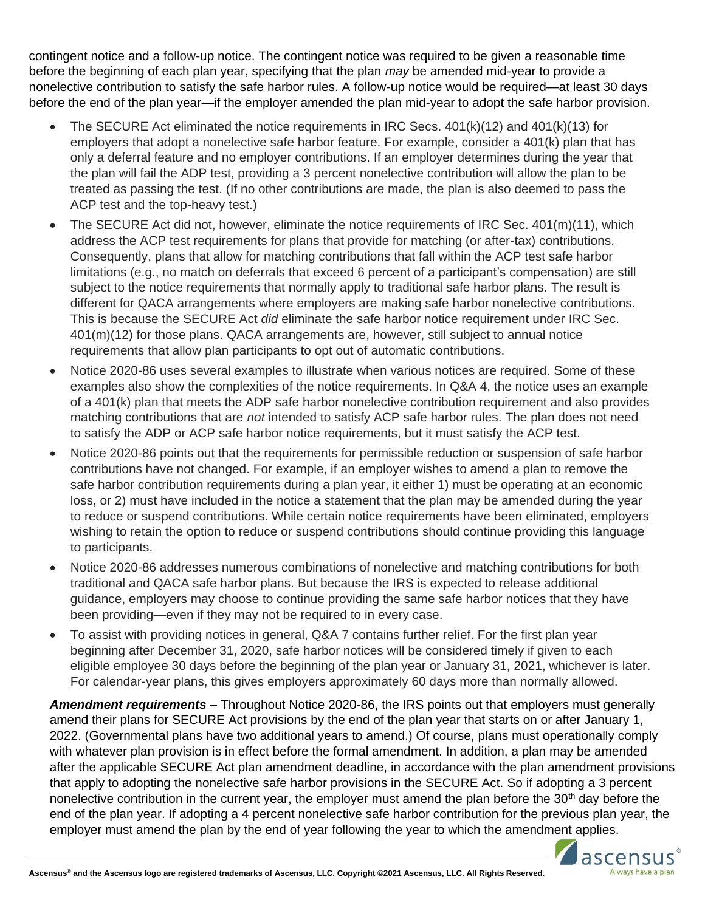contingent notice and a follow-up notice. The contingent notice was required to be given a reasonable time before the beginning of each plan year, specifying that the plan *may* be amended mid-year to provide a nonelective contribution to satisfy the safe harbor rules. A follow-up notice would be required—at least 30 days before the end of the plan year—if the employer amended the plan mid-year to adopt the safe harbor provision.

- The SECURE Act eliminated the notice requirements in IRC Secs. 401(k)(12) and 401(k)(13) for employers that adopt a nonelective safe harbor feature. For example, consider a 401(k) plan that has only a deferral feature and no employer contributions. If an employer determines during the year that the plan will fail the ADP test, providing a 3 percent nonelective contribution will allow the plan to be treated as passing the test. (If no other contributions are made, the plan is also deemed to pass the ACP test and the top-heavy test.)
- The SECURE Act did not, however, eliminate the notice requirements of IRC Sec.  $401(m)(11)$ , which address the ACP test requirements for plans that provide for matching (or after-tax) contributions. Consequently, plans that allow for matching contributions that fall within the ACP test safe harbor limitations (e.g., no match on deferrals that exceed 6 percent of a participant's compensation) are still subject to the notice requirements that normally apply to traditional safe harbor plans. The result is different for QACA arrangements where employers are making safe harbor nonelective contributions. This is because the SECURE Act *did* eliminate the safe harbor notice requirement under IRC Sec. 401(m)(12) for those plans. QACA arrangements are, however, still subject to annual notice requirements that allow plan participants to opt out of automatic contributions.
- Notice 2020-86 uses several examples to illustrate when various notices are required. Some of these examples also show the complexities of the notice requirements. In Q&A 4, the notice uses an example of a 401(k) plan that meets the ADP safe harbor nonelective contribution requirement and also provides matching contributions that are *not* intended to satisfy ACP safe harbor rules. The plan does not need to satisfy the ADP or ACP safe harbor notice requirements, but it must satisfy the ACP test.
- Notice 2020-86 points out that the requirements for permissible reduction or suspension of safe harbor contributions have not changed. For example, if an employer wishes to amend a plan to remove the safe harbor contribution requirements during a plan year, it either 1) must be operating at an economic loss, or 2) must have included in the notice a statement that the plan may be amended during the year to reduce or suspend contributions. While certain notice requirements have been eliminated, employers wishing to retain the option to reduce or suspend contributions should continue providing this language to participants.
- Notice 2020-86 addresses numerous combinations of nonelective and matching contributions for both traditional and QACA safe harbor plans. But because the IRS is expected to release additional guidance, employers may choose to continue providing the same safe harbor notices that they have been providing—even if they may not be required to in every case.
- To assist with providing notices in general, Q&A 7 contains further relief. For the first plan year beginning after December 31, 2020, safe harbor notices will be considered timely if given to each eligible employee 30 days before the beginning of the plan year or January 31, 2021, whichever is later. For calendar-year plans, this gives employers approximately 60 days more than normally allowed.

*Amendment requirements –* Throughout Notice 2020-86, the IRS points out that employers must generally amend their plans for SECURE Act provisions by the end of the plan year that starts on or after January 1, 2022. (Governmental plans have two additional years to amend.) Of course, plans must operationally comply with whatever plan provision is in effect before the formal amendment. In addition, a plan may be amended after the applicable SECURE Act plan amendment deadline, in accordance with the plan amendment provisions that apply to adopting the nonelective safe harbor provisions in the SECURE Act. So if adopting a 3 percent nonelective contribution in the current year, the employer must amend the plan before the 30<sup>th</sup> day before the end of the plan year. If adopting a 4 percent nonelective safe harbor contribution for the previous plan year, the employer must amend the plan by the end of year following the year to which the amendment applies.